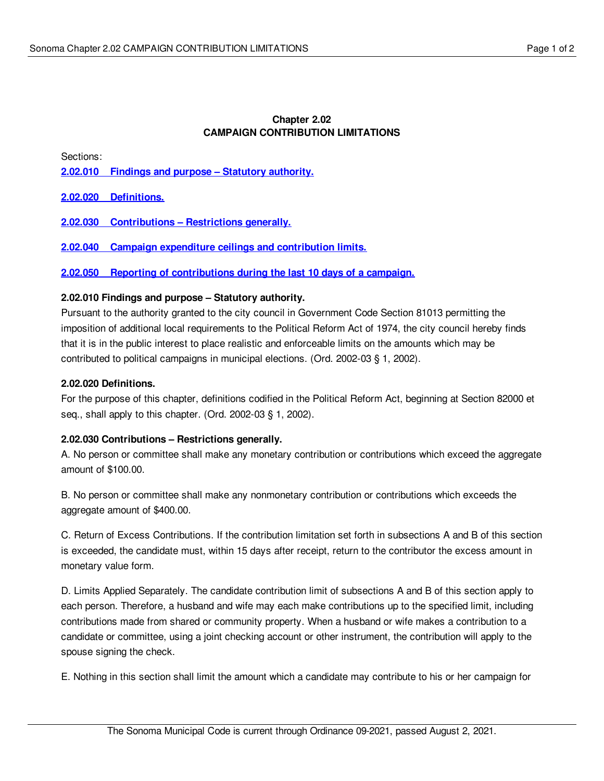# **Chapter 2.02 CAMPAIGN CONTRIBUTION LIMITATIONS**

Sections:

**2.02.010 Findings and purpose – Statutory [authority.](#page-0-0)**

**2.02.020 [Definitions.](#page-0-1)**

**2.02.030 [Contributions](#page-0-2) – Restrictions generally.**

**2.02.040 Campaign expenditure ceilings and [contribution](#page-1-0) limits.**

**2.02.050 Reporting of [contributions](#page-1-1) during the last 10 days of a campaign.**

## <span id="page-0-0"></span>**2.02.010 Findings and purpose – Statutory authority.**

Pursuant to the authority granted to the city council in Government Code Section 81013 permitting the imposition of additional local requirements to the Political Reform Act of 1974, the city council hereby finds that it is in the public interest to place realistic and enforceable limits on the amounts which may be contributed to political campaigns in municipal elections. (Ord. 2002-03 § 1, 2002).

## <span id="page-0-1"></span>**2.02.020 Definitions.**

For the purpose of this chapter, definitions codified in the Political Reform Act, beginning at Section 82000 et seq., shall apply to this chapter. (Ord. 2002-03 § 1, 2002).

# <span id="page-0-2"></span>**2.02.030 Contributions – Restrictions generally.**

A. No person or committee shall make any monetary contribution or contributions which exceed the aggregate amount of \$100.00.

B. No person or committee shall make any nonmonetary contribution or contributions which exceeds the aggregate amount of \$400.00.

C. Return of Excess Contributions. If the contribution limitation set forth in subsections A and B of this section is exceeded, the candidate must, within 15 days after receipt, return to the contributor the excess amount in monetary value form.

D. Limits Applied Separately. The candidate contribution limit of subsections A and B of this section apply to each person. Therefore, a husband and wife may each make contributions up to the specified limit, including contributions made from shared or community property. When a husband or wife makes a contribution to a candidate or committee, using a joint checking account or other instrument, the contribution will apply to the spouse signing the check.

E. Nothing in this section shall limit the amount which a candidate may contribute to his or her campaign for